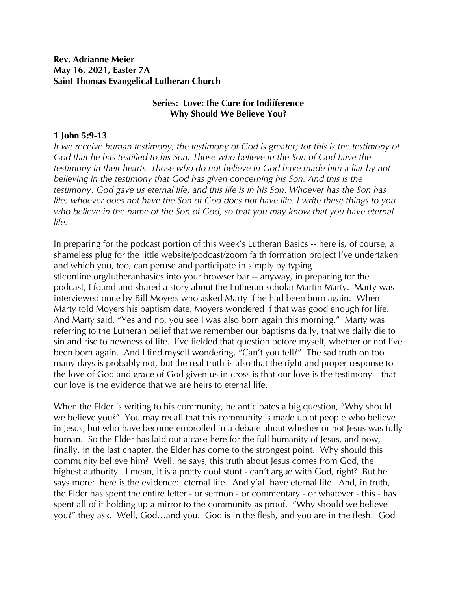**Rev. Adrianne Meier May 16, 2021, Easter 7A Saint Thomas Evangelical Lutheran Church**

## **Series: Love: the Cure for Indifference Why Should We Believe You?**

## **1 John 5:9-13**

*If we receive human testimony, the testimony of God is greater; for this is the testimony of God that he has testified to his Son. Those who believe in the Son of God have the testimony in their hearts. Those who do not believe in God have made him a liar by not believing in the testimony that God has given concerning his Son. And this is the testimony: God gave us eternal life, and this life is in his Son. Whoever has the Son has life; whoever does not have the Son of God does not have life. I write these things to you who believe in the name of the Son of God, so that you may know that you have eternal life.* 

In preparing for the podcast portion of this week's Lutheran Basics -- here is, of course, a shameless plug for the little website/podcast/zoom faith formation project I've undertaken and which you, too, can peruse and participate in simply by typing stlconline.org/lutheranbasics into your browser bar -- anyway, in preparing for the podcast, I found and shared a story about the Lutheran scholar Martin Marty. Marty was interviewed once by Bill Moyers who asked Marty if he had been born again. When Marty told Moyers his baptism date, Moyers wondered if that was good enough for life. And Marty said, "Yes and no, you see I was also born again this morning." Marty was referring to the Lutheran belief that we remember our baptisms daily, that we daily die to sin and rise to newness of life. I've fielded that question before myself, whether or not I've been born again. And I find myself wondering, "Can't you tell?" The sad truth on too many days is probably not, but the real truth is also that the right and proper response to the love of God and grace of God given us in cross is that our love is the testimony—that our love is the evidence that we are heirs to eternal life.

When the Elder is writing to his community, he anticipates a big question, "Why should" we believe you?" You may recall that this community is made up of people who believe in Jesus, but who have become embroiled in a debate about whether or not Jesus was fully human. So the Elder has laid out a case here for the full humanity of Jesus, and now, finally, in the last chapter, the Elder has come to the strongest point. Why should this community believe him? Well, he says, this truth about Jesus comes from God, the highest authority. I mean, it is a pretty cool stunt - can't argue with God, right? But he says more: here is the evidence: eternal life. And y'all have eternal life. And, in truth, the Elder has spent the entire letter - or sermon - or commentary - or whatever - this - has spent all of it holding up a mirror to the community as proof. "Why should we believe you?" they ask. Well, God…and you. God is in the flesh, and you are in the flesh. God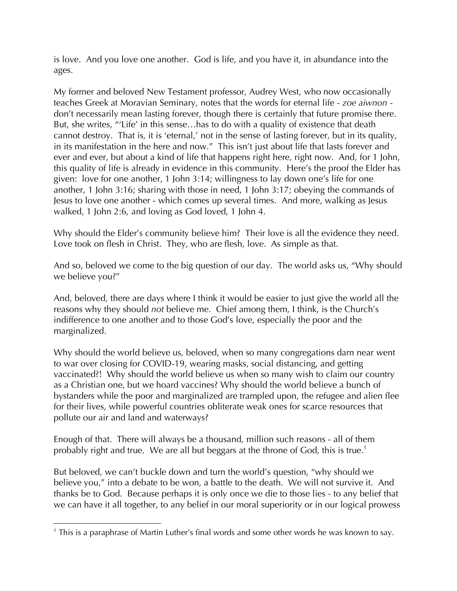is love. And you love one another. God is life, and you have it, in abundance into the ages.

My former and beloved New Testament professor, Audrey West, who now occasionally teaches Greek at Moravian Seminary, notes that the words for eternal life - *zoe aiwnon* don't necessarily mean lasting forever, though there is certainly that future promise there. But, she writes, "'Life' in this sense…has to do with a quality of existence that death cannot destroy. That is, it is 'eternal,' not in the sense of lasting forever, but in its quality, in its manifestation in the here and now." This isn't just about life that lasts forever and ever and ever, but about a kind of life that happens right here, right now. And, for 1 John, this quality of life is already in evidence in this community. Here's the proof the Elder has given: love for one another, 1 John 3:14; willingness to lay down one's life for one another, 1 John 3:16; sharing with those in need, 1 John 3:17; obeying the commands of Jesus to love one another - which comes up several times. And more, walking as Jesus walked, 1 John 2:6, and loving as God loved, 1 John 4.

Why should the Elder's community believe him? Their love is all the evidence they need. Love took on flesh in Christ. They, who are flesh, love. As simple as that.

And so, beloved we come to the big question of our day. The world asks us, "Why should we believe you?"

And, beloved, there are days where I think it would be easier to just give the world all the reasons why they should *not* believe me. Chief among them, I think, is the Church's indifference to one another and to those God's love, especially the poor and the marginalized.

Why should the world believe us, beloved, when so many congregations darn near went to war over closing for COVID-19, wearing masks, social distancing, and getting vaccinated?! Why should the world believe us when so many wish to claim our country as a Christian one, but we hoard vaccines? Why should the world believe a bunch of bystanders while the poor and marginalized are trampled upon, the refugee and alien flee for their lives, while powerful countries obliterate weak ones for scarce resources that pollute our air and land and waterways?

Enough of that. There will always be a thousand, million such reasons - all of them probably right and true. We are all but beggars at the throne of God, this is true.<sup>1</sup>

But beloved, we can't buckle down and turn the world's question, "why should we believe you," into a debate to be won, a battle to the death. We will not survive it. And thanks be to God. Because perhaps it is only once we die to those lies - to any belief that we can have it all together, to any belief in our moral superiority or in our logical prowess

 $<sup>1</sup>$  This is a paraphrase of Martin Luther's final words and some other words he was known to say.</sup>